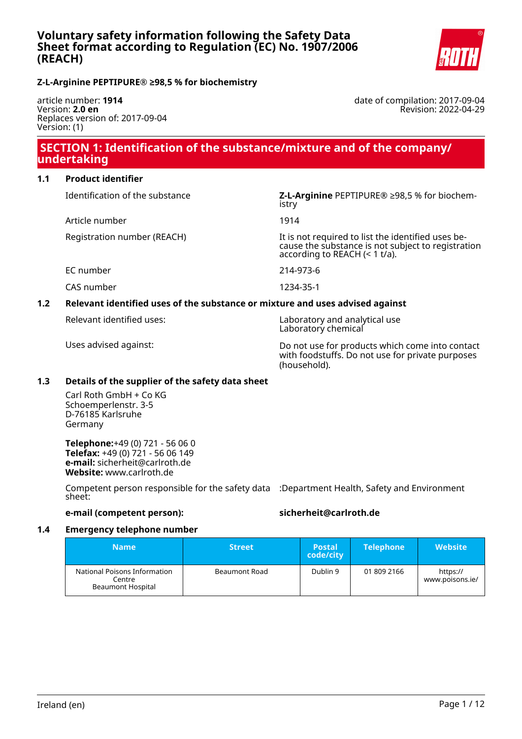

### **Z-L-Arginine PEPTIPURE® ≥98,5 % for biochemistry**

article number: **1914** Version: **2.0 en** Replaces version of: 2017-09-04 Version: (1)

date of compilation: 2017-09-04 Revision: 2022-04-29

# **SECTION 1: Identification of the substance/mixture and of the company/ undertaking**

### **1.1 Product identifier**

Identification of the substance **Z-L-Arginine** PEPTIPURE® ≥98,5 % for biochemistry

Article number 1914

Registration number (REACH) It is not required to list the identified uses because the substance is not subject to registration according to REACH (< 1 t/a).

EC number 214-973-6

CAS number 1234-35-1

# **1.2 Relevant identified uses of the substance or mixture and uses advised against**

Relevant identified uses: Laboratory and analytical use Laboratory chemical

Uses advised against: Do not use for products which come into contact with foodstuffs. Do not use for private purposes (household).

### **1.3 Details of the supplier of the safety data sheet**

Carl Roth GmbH + Co KG Schoemperlenstr. 3-5 D-76185 Karlsruhe Germany

**Telephone:**+49 (0) 721 - 56 06 0 **Telefax:** +49 (0) 721 - 56 06 149 **e-mail:** sicherheit@carlroth.de **Website:** www.carlroth.de

Competent person responsible for the safety data :Department Health, Safety and Environment sheet:

# **e-mail (competent person): sicherheit@carlroth.de**

### **1.4 Emergency telephone number**

| <b>Name</b>                                                        | <b>Street</b> | <b>Postal</b><br>code/city | <b>Telephone</b> | <b>Website</b>              |
|--------------------------------------------------------------------|---------------|----------------------------|------------------|-----------------------------|
| National Poisons Information<br>Centre<br><b>Beaumont Hospital</b> | Beaumont Road | Dublin 9                   | 01 809 2166      | https://<br>www.poisons.ie/ |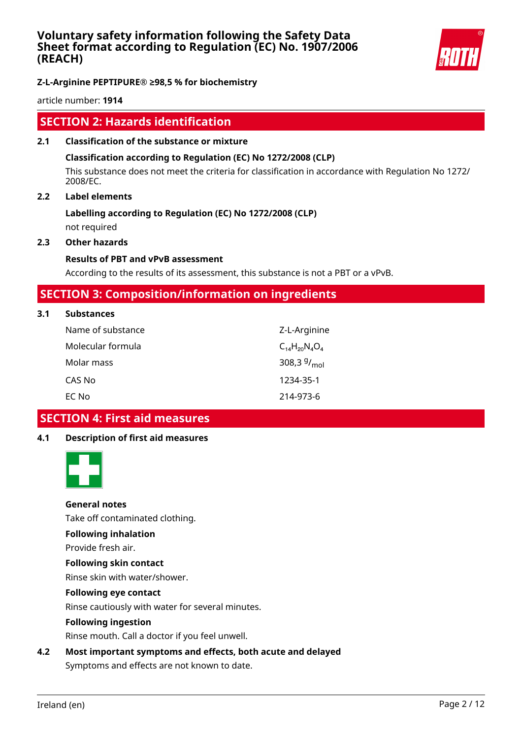

# **Z-L-Arginine PEPTIPURE® ≥98,5 % for biochemistry**

article number: **1914**

# **SECTION 2: Hazards identification**

**2.1 Classification of the substance or mixture**

### **Classification according to Regulation (EC) No 1272/2008 (CLP)**

This substance does not meet the criteria for classification in accordance with Regulation No 1272/ 2008/EC.

### **2.2 Label elements**

# **Labelling according to Regulation (EC) No 1272/2008 (CLP)**

not required

### **2.3 Other hazards**

**3.1 Substances**

### **Results of PBT and vPvB assessment**

According to the results of its assessment, this substance is not a PBT or a vPvB.

# **SECTION 3: Composition/information on ingredients**

| <b>Substances</b> |                          |
|-------------------|--------------------------|
| Name of substance | Z-L-Arginine             |
| Molecular formula | $C_{14}H_{20}N_{4}O_{4}$ |
| Molar mass        | 308,3 $9/_{mol}$         |
| CAS No            | 1234-35-1                |
| EC No             | 214-973-6                |

# **SECTION 4: First aid measures**

# **4.1 Description of first aid measures**



# **General notes**

Take off contaminated clothing.

### **Following inhalation**

Provide fresh air.

# **Following skin contact**

Rinse skin with water/shower.

### **Following eye contact**

Rinse cautiously with water for several minutes.

### **Following ingestion**

Rinse mouth. Call a doctor if you feel unwell.

# **4.2 Most important symptoms and effects, both acute and delayed**

Symptoms and effects are not known to date.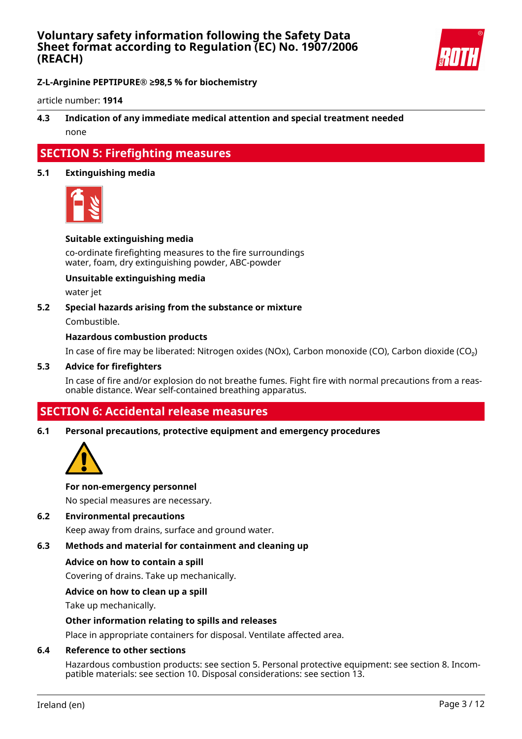

**Z-L-Arginine PEPTIPURE® ≥98,5 % for biochemistry**

article number: **1914**

# **4.3 Indication of any immediate medical attention and special treatment needed** none

# **SECTION 5: Firefighting measures**

### **5.1 Extinguishing media**



### **Suitable extinguishing media**

co-ordinate firefighting measures to the fire surroundings water, foam, dry extinguishing powder, ABC-powder

### **Unsuitable extinguishing media**

water jet

### **5.2 Special hazards arising from the substance or mixture**

Combustible.

### **Hazardous combustion products**

In case of fire may be liberated: Nitrogen oxides (NOx), Carbon monoxide (CO), Carbon dioxide (CO₂)

#### **5.3 Advice for firefighters**

In case of fire and/or explosion do not breathe fumes. Fight fire with normal precautions from a reasonable distance. Wear self-contained breathing apparatus.

# **SECTION 6: Accidental release measures**

### **6.1 Personal precautions, protective equipment and emergency procedures**



#### **For non-emergency personnel**

No special measures are necessary.

### **6.2 Environmental precautions**

Keep away from drains, surface and ground water.

### **6.3 Methods and material for containment and cleaning up**

#### **Advice on how to contain a spill**

Covering of drains. Take up mechanically.

### **Advice on how to clean up a spill**

Take up mechanically.

### **Other information relating to spills and releases**

Place in appropriate containers for disposal. Ventilate affected area.

### **6.4 Reference to other sections**

Hazardous combustion products: see section 5. Personal protective equipment: see section 8. Incompatible materials: see section 10. Disposal considerations: see section 13.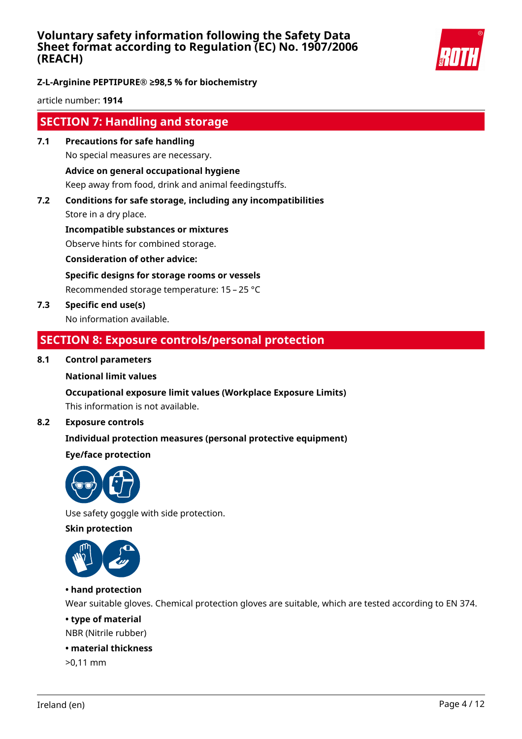

# **Z-L-Arginine PEPTIPURE® ≥98,5 % for biochemistry**

article number: **1914**

# **SECTION 7: Handling and storage**

- **7.1 Precautions for safe handling** No special measures are necessary. **Advice on general occupational hygiene** Keep away from food, drink and animal feedingstuffs.
- **7.2 Conditions for safe storage, including any incompatibilities** Store in a dry place.

**Incompatible substances or mixtures** Observe hints for combined storage.

**Consideration of other advice:**

**Specific designs for storage rooms or vessels**

Recommended storage temperature: 15 – 25 °C

**7.3 Specific end use(s)** No information available.

# **SECTION 8: Exposure controls/personal protection**

### **8.1 Control parameters**

### **National limit values**

### **Occupational exposure limit values (Workplace Exposure Limits)**

This information is not available.

### **8.2 Exposure controls**

# **Individual protection measures (personal protective equipment)**

### **Eye/face protection**



Use safety goggle with side protection.

**Skin protection**



### **• hand protection**

Wear suitable gloves. Chemical protection gloves are suitable, which are tested according to EN 374.

### **• type of material**

NBR (Nitrile rubber)

### **• material thickness**

>0,11 mm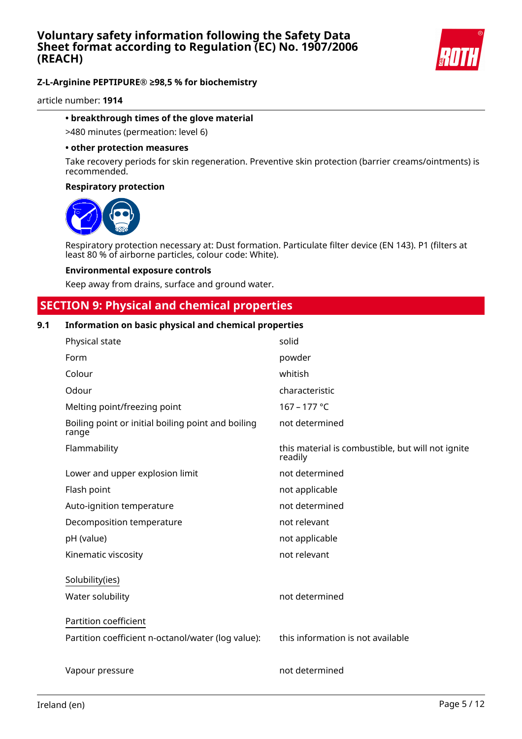

article number: **1914**

### **• breakthrough times of the glove material**

>480 minutes (permeation: level 6)

#### **• other protection measures**

Take recovery periods for skin regeneration. Preventive skin protection (barrier creams/ointments) is recommended.

### **Respiratory protection**



Respiratory protection necessary at: Dust formation. Particulate filter device (EN 143). P1 (filters at least 80 % of airborne particles, colour code: White).

#### **Environmental exposure controls**

Keep away from drains, surface and ground water.

# **SECTION 9: Physical and chemical properties**

### **9.1 Information on basic physical and chemical properties**

| Physical state                                              | solid                                                        |
|-------------------------------------------------------------|--------------------------------------------------------------|
| Form                                                        | powder                                                       |
| Colour                                                      | whitish                                                      |
| Odour                                                       | characteristic                                               |
| Melting point/freezing point                                | 167 - 177 °C                                                 |
| Boiling point or initial boiling point and boiling<br>range | not determined                                               |
| Flammability                                                | this material is combustible, but will not ignite<br>readily |
| Lower and upper explosion limit                             | not determined                                               |
| Flash point                                                 | not applicable                                               |
| Auto-ignition temperature                                   | not determined                                               |
| Decomposition temperature                                   | not relevant                                                 |
| pH (value)                                                  | not applicable                                               |
| Kinematic viscosity                                         | not relevant                                                 |
| Solubility(ies)                                             |                                                              |
| Water solubility                                            | not determined                                               |
| Partition coefficient                                       |                                                              |
| Partition coefficient n-octanol/water (log value):          | this information is not available                            |
| Vapour pressure                                             | not determined                                               |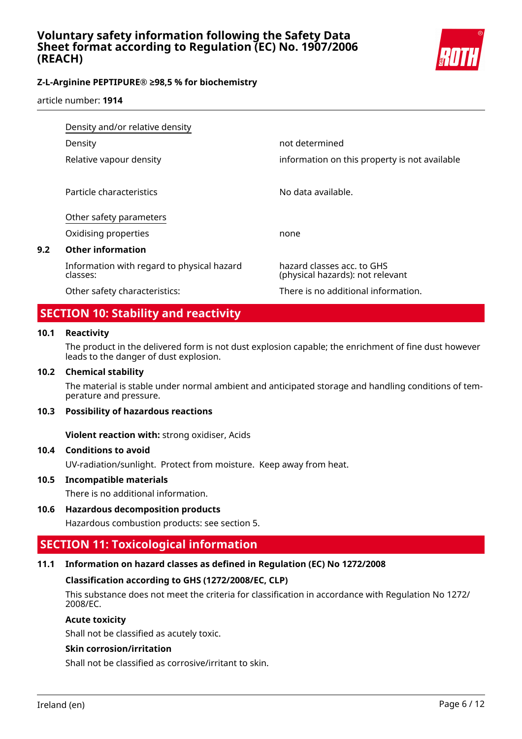

article number: **1914**

|     | Density and/or relative density                        |                                                                |  |
|-----|--------------------------------------------------------|----------------------------------------------------------------|--|
|     | Density                                                | not determined                                                 |  |
|     | Relative vapour density                                | information on this property is not available                  |  |
|     | Particle characteristics                               | No data available.                                             |  |
|     | Other safety parameters                                |                                                                |  |
|     | Oxidising properties                                   | none                                                           |  |
| 9.2 | <b>Other information</b>                               |                                                                |  |
|     | Information with regard to physical hazard<br>classes: | hazard classes acc. to GHS<br>(physical hazards): not relevant |  |
|     | Other safety characteristics:                          | There is no additional information.                            |  |

# **SECTION 10: Stability and reactivity**

### **10.1 Reactivity**

The product in the delivered form is not dust explosion capable; the enrichment of fine dust however leads to the danger of dust explosion.

### **10.2 Chemical stability**

The material is stable under normal ambient and anticipated storage and handling conditions of temperature and pressure.

### **10.3 Possibility of hazardous reactions**

**Violent reaction with:** strong oxidiser, Acids

### **10.4 Conditions to avoid**

UV-radiation/sunlight. Protect from moisture. Keep away from heat.

### **10.5 Incompatible materials**

There is no additional information.

# **10.6 Hazardous decomposition products**

Hazardous combustion products: see section 5.

# **SECTION 11: Toxicological information**

# **11.1 Information on hazard classes as defined in Regulation (EC) No 1272/2008**

### **Classification according to GHS (1272/2008/EC, CLP)**

This substance does not meet the criteria for classification in accordance with Regulation No 1272/ 2008/EC.

### **Acute toxicity**

Shall not be classified as acutely toxic.

### **Skin corrosion/irritation**

Shall not be classified as corrosive/irritant to skin.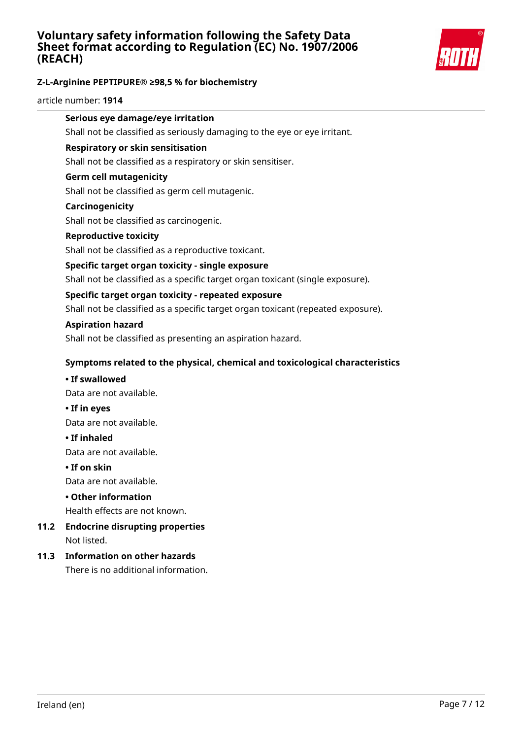

# **Z-L-Arginine PEPTIPURE® ≥98,5 % for biochemistry**

article number: **1914**

# **Serious eye damage/eye irritation**

Shall not be classified as seriously damaging to the eye or eye irritant.

### **Respiratory or skin sensitisation**

Shall not be classified as a respiratory or skin sensitiser.

### **Germ cell mutagenicity**

Shall not be classified as germ cell mutagenic.

#### **Carcinogenicity**

Shall not be classified as carcinogenic.

### **Reproductive toxicity**

Shall not be classified as a reproductive toxicant.

### **Specific target organ toxicity - single exposure**

Shall not be classified as a specific target organ toxicant (single exposure).

### **Specific target organ toxicity - repeated exposure**

Shall not be classified as a specific target organ toxicant (repeated exposure).

#### **Aspiration hazard**

Shall not be classified as presenting an aspiration hazard.

### **Symptoms related to the physical, chemical and toxicological characteristics**

#### **• If swallowed**

Data are not available.

**• If in eyes**

Data are not available.

#### **• If inhaled**

Data are not available.

#### **• If on skin**

Data are not available.

### **• Other information**

Health effects are not known.

# **11.2 Endocrine disrupting properties** Not listed.

### **11.3 Information on other hazards**

There is no additional information.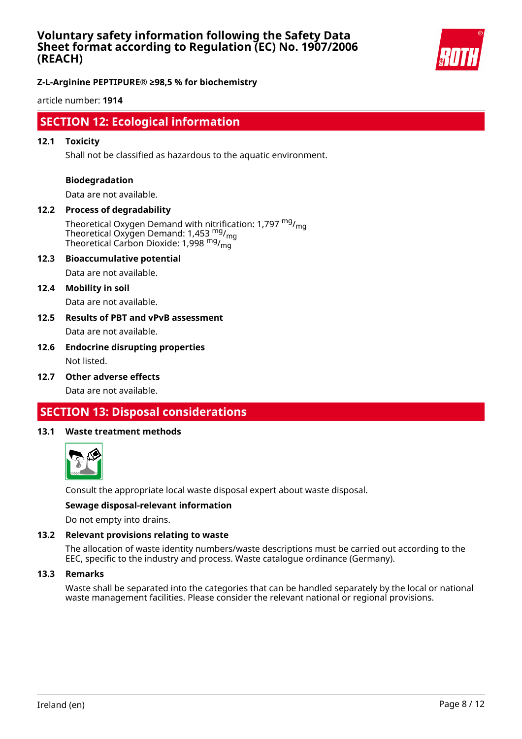

### **Z-L-Arginine PEPTIPURE® ≥98,5 % for biochemistry**

article number: **1914**

# **SECTION 12: Ecological information**

### **12.1 Toxicity**

Shall not be classified as hazardous to the aquatic environment.

#### **Biodegradation**

Data are not available.

# **12.2 Process of degradability**

Theoretical Oxygen Demand with nitrification: 1,797  $mg/m<sub>g</sub>$ Theoretical Oxygen Demand: 1,453 mg/<sub>mg</sub> Theoretical Carbon Dioxide: 1,998 mg/mg

#### **12.3 Bioaccumulative potential**

Data are not available.

#### **12.4 Mobility in soil**

Data are not available.

### **12.5 Results of PBT and vPvB assessment** Data are not available.

### **12.6 Endocrine disrupting properties** Not listed.

**12.7 Other adverse effects**

Data are not available.

# **SECTION 13: Disposal considerations**

#### **13.1 Waste treatment methods**



Consult the appropriate local waste disposal expert about waste disposal.

#### **Sewage disposal-relevant information**

Do not empty into drains.

### **13.2 Relevant provisions relating to waste**

The allocation of waste identity numbers/waste descriptions must be carried out according to the EEC, specific to the industry and process. Waste catalogue ordinance (Germany).

#### **13.3 Remarks**

Waste shall be separated into the categories that can be handled separately by the local or national waste management facilities. Please consider the relevant national or regional provisions.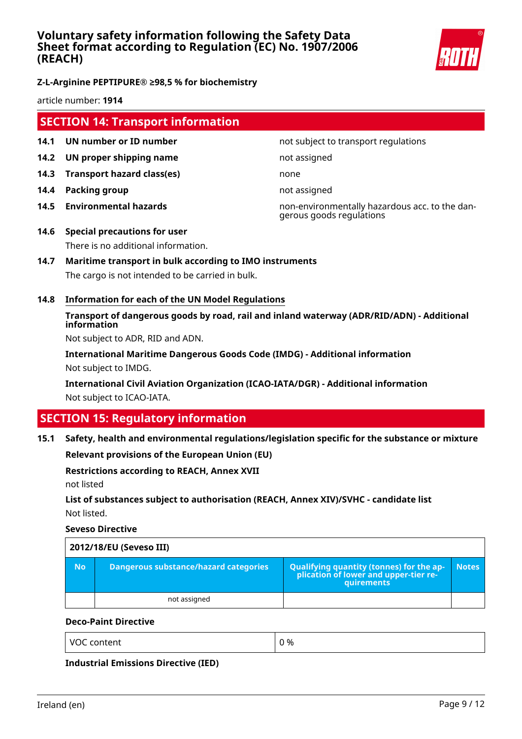

**Z-L-Arginine PEPTIPURE® ≥98,5 % for biochemistry**

article number: **1914**

# **SECTION 14: Transport information**

- **14.1 UN number or ID number not subject to transport regulations**
- **14.2 UN proper shipping name** not assigned
- **14.3 Transport hazard class(es)** none
- **14.4 Packing group not assigned**
- 

**14.5 Environmental hazards** non-environmentally hazardous acc. to the dangerous goods regulations

- **14.6 Special precautions for user** There is no additional information.
- **14.7 Maritime transport in bulk according to IMO instruments** The cargo is not intended to be carried in bulk.
- **14.8 Information for each of the UN Model Regulations**

# **Transport of dangerous goods by road, rail and inland waterway (ADR/RID/ADN) - Additional information**

Not subject to ADR, RID and ADN.

**International Maritime Dangerous Goods Code (IMDG) - Additional information** Not subject to IMDG.

**International Civil Aviation Organization (ICAO-IATA/DGR) - Additional information** Not subject to ICAO-IATA.

# **SECTION 15: Regulatory information**

### **15.1 Safety, health and environmental regulations/legislation specific for the substance or mixture**

**Relevant provisions of the European Union (EU)**

### **Restrictions according to REACH, Annex XVII**

not listed

# **List of substances subject to authorisation (REACH, Annex XIV)/SVHC - candidate list** Not listed.

**Seveso Directive**

| 2012/18/EU (Seveso III) |                                              |                                                                                            |              |
|-------------------------|----------------------------------------------|--------------------------------------------------------------------------------------------|--------------|
| <b>No</b>               | <b>Dangerous substance/hazard categories</b> | Qualifying quantity (tonnes) for the application of lower and upper-tier re-<br>quirements | <b>Notes</b> |
|                         | not assigned                                 |                                                                                            |              |

### **Deco-Paint Directive**

VOC content  $\begin{array}{ccc} \vert & 0 \end{array}$ 

**Industrial Emissions Directive (IED)**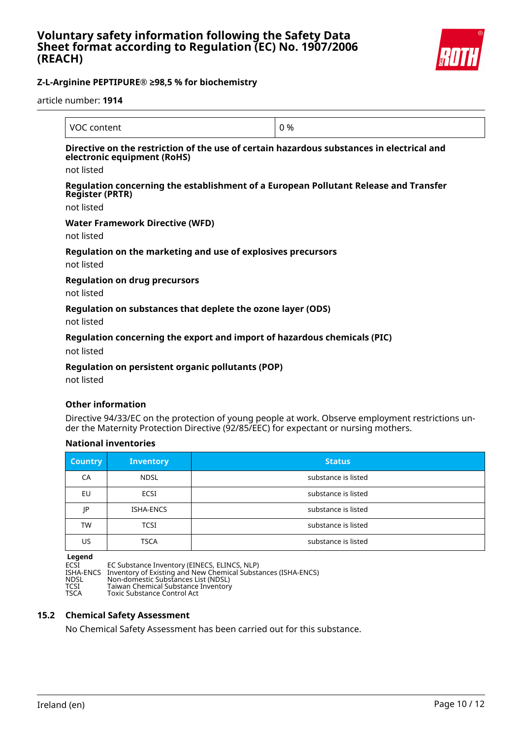

article number: **1914**

| VOC content                                                                                                                            | 0 % |
|----------------------------------------------------------------------------------------------------------------------------------------|-----|
| Directive on the restriction of the use of certain hazardous substances in electrical and<br>electronic equipment (RoHS)<br>not listed |     |
| Regulation concerning the establishment of a European Pollutant Release and Transfer<br><b>Register (PRTR)</b>                         |     |
| not listed                                                                                                                             |     |
| Water Framework Directive (WFD)<br>not listed                                                                                          |     |
| Regulation on the marketing and use of explosives precursors<br>not listed                                                             |     |
| <b>Regulation on drug precursors</b><br>not listed                                                                                     |     |
| Regulation on substances that deplete the ozone layer (ODS)<br>not listed                                                              |     |

### **Regulation concerning the export and import of hazardous chemicals (PIC)**

not listed

### **Regulation on persistent organic pollutants (POP)**

not listed

### **Other information**

Directive 94/33/EC on the protection of young people at work. Observe employment restrictions under the Maternity Protection Directive (92/85/EEC) for expectant or nursing mothers.

### **National inventories**

| <b>Country</b> | <b>Inventory</b> | <b>Status</b>       |
|----------------|------------------|---------------------|
| CA             | <b>NDSL</b>      | substance is listed |
| EU             | <b>ECSI</b>      | substance is listed |
| JP             | ISHA-ENCS        | substance is listed |
| TW             | <b>TCSI</b>      | substance is listed |
| US             | <b>TSCA</b>      | substance is listed |

**Legend** ECSI EC Substance Inventory (EINECS, ELINCS, NLP) ISHA-ENCS Inventory of Existing and New Chemical Substances (ISHA-ENCS) NDSL Non-domestic Substances List (NDSL) TESHA-ENCS Inventory of Existence Inventory (LINECS, LEINVIS<br>
NDSL Non-domestic Substances List (NDSL)<br>
TCSI Taiwan Chemical Substance Inventory<br>
TSCA Toxic Substance Control Act Toxic Substance Control Act

# **15.2 Chemical Safety Assessment**

No Chemical Safety Assessment has been carried out for this substance.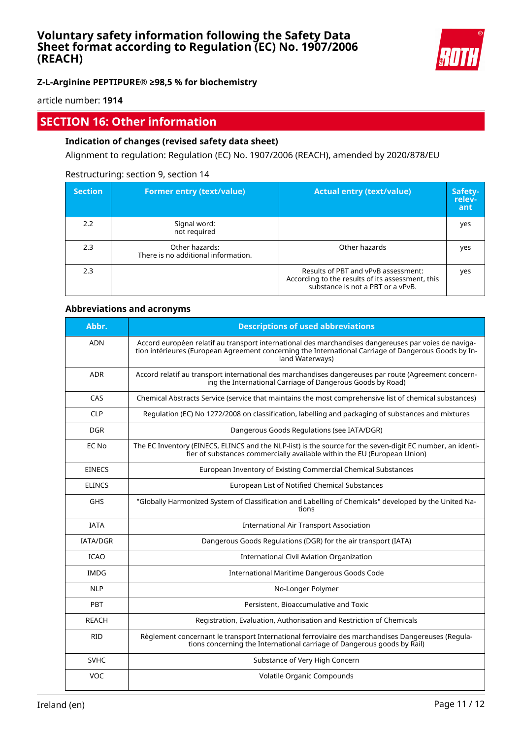

### **Z-L-Arginine PEPTIPURE® ≥98,5 % for biochemistry**

article number: **1914**

# **SECTION 16: Other information**

### **Indication of changes (revised safety data sheet)**

Alignment to regulation: Regulation (EC) No. 1907/2006 (REACH), amended by 2020/878/EU

### Restructuring: section 9, section 14

| <b>Section</b> | <b>Former entry (text/value)</b>                      | <b>Actual entry (text/value)</b>                                                                                             | Safety-<br>relev-<br>ant |
|----------------|-------------------------------------------------------|------------------------------------------------------------------------------------------------------------------------------|--------------------------|
| 2.2            | Signal word:<br>not required                          |                                                                                                                              | yes                      |
| 2.3            | Other hazards:<br>There is no additional information. | Other hazards                                                                                                                | yes                      |
| 2.3            |                                                       | Results of PBT and vPvB assessment:<br>According to the results of its assessment, this<br>substance is not a PBT or a vPvB. | yes                      |

### **Abbreviations and acronyms**

| Abbr.           | <b>Descriptions of used abbreviations</b>                                                                                                                                                                                       |
|-----------------|---------------------------------------------------------------------------------------------------------------------------------------------------------------------------------------------------------------------------------|
| <b>ADN</b>      | Accord européen relatif au transport international des marchandises dangereuses par voies de naviga-<br>tion intérieures (European Agreement concerning the International Carriage of Dangerous Goods by In-<br>land Waterways) |
| <b>ADR</b>      | Accord relatif au transport international des marchandises dangereuses par route (Agreement concern-<br>ing the International Carriage of Dangerous Goods by Road)                                                              |
| CAS             | Chemical Abstracts Service (service that maintains the most comprehensive list of chemical substances)                                                                                                                          |
| <b>CLP</b>      | Regulation (EC) No 1272/2008 on classification, labelling and packaging of substances and mixtures                                                                                                                              |
| <b>DGR</b>      | Dangerous Goods Regulations (see IATA/DGR)                                                                                                                                                                                      |
| EC No           | The EC Inventory (EINECS, ELINCS and the NLP-list) is the source for the seven-digit EC number, an identi-<br>fier of substances commercially available within the EU (European Union)                                          |
| <b>EINECS</b>   | European Inventory of Existing Commercial Chemical Substances                                                                                                                                                                   |
| <b>ELINCS</b>   | European List of Notified Chemical Substances                                                                                                                                                                                   |
| <b>GHS</b>      | "Globally Harmonized System of Classification and Labelling of Chemicals" developed by the United Na-<br>tions                                                                                                                  |
| <b>IATA</b>     | <b>International Air Transport Association</b>                                                                                                                                                                                  |
| <b>IATA/DGR</b> | Dangerous Goods Regulations (DGR) for the air transport (IATA)                                                                                                                                                                  |
| <b>ICAO</b>     | International Civil Aviation Organization                                                                                                                                                                                       |
| <b>IMDG</b>     | International Maritime Dangerous Goods Code                                                                                                                                                                                     |
| <b>NLP</b>      | No-Longer Polymer                                                                                                                                                                                                               |
| PBT             | Persistent, Bioaccumulative and Toxic                                                                                                                                                                                           |
| <b>REACH</b>    | Registration, Evaluation, Authorisation and Restriction of Chemicals                                                                                                                                                            |
| <b>RID</b>      | Règlement concernant le transport International ferroviaire des marchandises Dangereuses (Regula-<br>tions concerning the International carriage of Dangerous goods by Rail)                                                    |
| <b>SVHC</b>     | Substance of Very High Concern                                                                                                                                                                                                  |
| <b>VOC</b>      | Volatile Organic Compounds                                                                                                                                                                                                      |